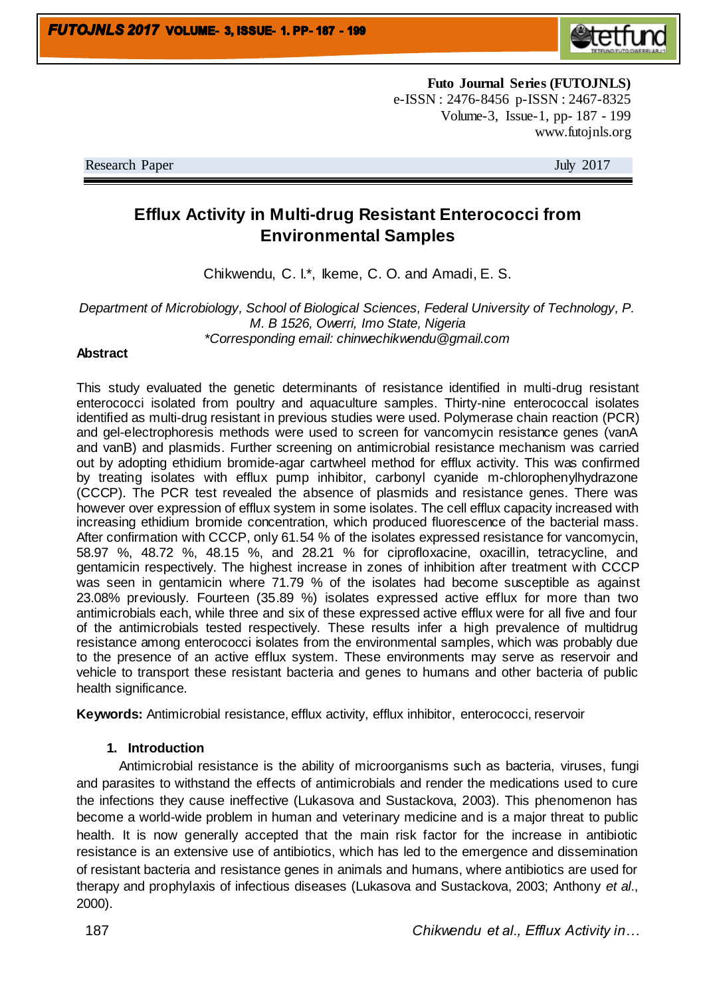

**Futo Journal Series (FUTOJNLS)** e-ISSN : 2476-8456 p-ISSN : 2467-8325 Volume-3, Issue-1, pp- 187 - 199 www.futojnls.org

Research Paper July 2017

# **Efflux Activity in Multi-drug Resistant Enterococci from Environmental Samples**

Chikwendu, C. I.\*, Ikeme, C. O. and Amadi, E. S.

*Department of Microbiology, School of Biological Sciences, Federal University of Technology, P. M. B 1526, Owerri, Imo State, Nigeria \*Corresponding email: chinwechikwendu@gmail.com*

#### **Abstract**

This study evaluated the genetic determinants of resistance identified in multi-drug resistant enterococci isolated from poultry and aquaculture samples. Thirty-nine enterococcal isolates identified as multi-drug resistant in previous studies were used. Polymerase chain reaction (PCR) and gel-electrophoresis methods were used to screen for vancomycin resistance genes (vanA and vanB) and plasmids. Further screening on antimicrobial resistance mechanism was carried out by adopting ethidium bromide-agar cartwheel method for efflux activity. This was confirmed by treating isolates with efflux pump inhibitor, carbonyl cyanide m-chlorophenylhydrazone (CCCP). The PCR test revealed the absence of plasmids and resistance genes. There was however over expression of efflux system in some isolates. The cell efflux capacity increased with increasing ethidium bromide concentration, which produced fluorescence of the bacterial mass. After confirmation with CCCP, only 61.54 % of the isolates expressed resistance for vancomycin, 58.97 %, 48.72 %, 48.15 %, and 28.21 % for ciprofloxacine, oxacillin, tetracycline, and gentamicin respectively. The highest increase in zones of inhibition after treatment with CCCP was seen in gentamicin where 71.79 % of the isolates had become susceptible as against 23.08% previously. Fourteen (35.89 %) isolates expressed active efflux for more than two antimicrobials each, while three and six of these expressed active efflux were for all five and four of the antimicrobials tested respectively. These results infer a high prevalence of multidrug resistance among enterococci isolates from the environmental samples, which was probably due to the presence of an active efflux system. These environments may serve as reservoir and vehicle to transport these resistant bacteria and genes to humans and other bacteria of public health significance.

**Keywords:** Antimicrobial resistance, efflux activity, efflux inhibitor, enterococci, reservoir

#### **1. Introduction**

Antimicrobial resistance is the ability of microorganisms such as bacteria, viruses, fungi and parasites to withstand the effects of antimicrobials and render the medications used to cure the infections they cause ineffective (Lukasova and Sustackova, 2003). This phenomenon has become a world-wide problem in human and veterinary medicine and is a major threat to public health. It is now generally accepted that the main risk factor for the increase in antibiotic resistance is an extensive use of antibiotics, which has led to the emergence and dissemination of resistant bacteria and resistance genes in animals and humans, where antibiotics are used for therapy and prophylaxis of infectious diseases (Lukasova and Sustackova, 2003; Anthony *et al*., 2000).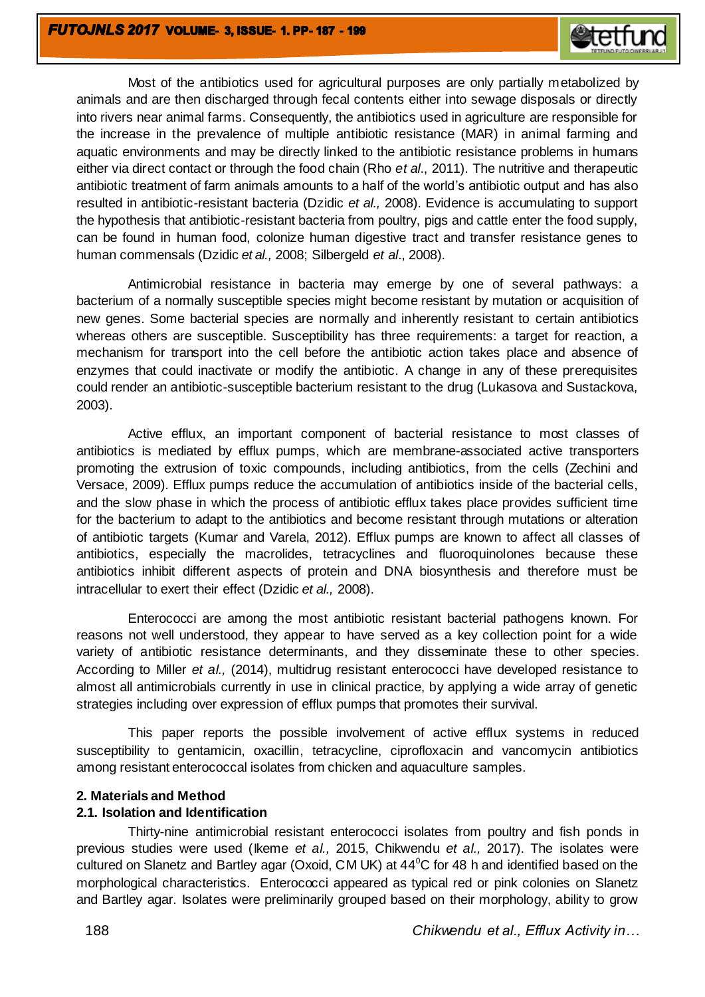Most of the antibiotics used for agricultural purposes are only partially metabolized by animals and are then discharged through fecal contents either into sewage disposals or directly into rivers near animal farms. Consequently, the antibiotics used in agriculture are responsible for the increase in the prevalence of multiple antibiotic resistance (MAR) in animal farming and aquatic environments and may be directly linked to the antibiotic resistance problems in humans either via direct contact or through the food chain (Rho *et al*., 2011). The nutritive and therapeutic antibiotic treatment of farm animals amounts to a half of the world's antibiotic output and has also resulted in antibiotic-resistant bacteria (Dzidic *et al.,* 2008). Evidence is accumulating to support the hypothesis that antibiotic-resistant bacteria from poultry, pigs and cattle enter the food supply, can be found in human food, colonize human digestive tract and transfer resistance genes to human commensals (Dzidic *et al.,* 2008; Silbergeld *et al*., 2008).

Antimicrobial resistance in bacteria may emerge by one of several pathways: a bacterium of a normally susceptible species might become resistant by mutation or acquisition of new genes. Some bacterial species are normally and inherently resistant to certain antibiotics whereas others are susceptible. Susceptibility has three requirements: a target for reaction, a mechanism for transport into the cell before the antibiotic action takes place and absence of enzymes that could inactivate or modify the antibiotic. A change in any of these prerequisites could render an antibiotic-susceptible bacterium resistant to the drug (Lukasova and Sustackova, 2003).

Active efflux, an important component of bacterial resistance to most classes of antibiotics is mediated by efflux pumps, which are membrane-associated active transporters promoting the extrusion of toxic compounds, including antibiotics, from the cells (Zechini and Versace, 2009). Efflux pumps reduce the accumulation of antibiotics inside of the bacterial cells, and the slow phase in which the process of antibiotic efflux takes place provides sufficient time for the bacterium to adapt to the antibiotics and become resistant through mutations or alteration of antibiotic targets (Kumar and Varela, 2012). Efflux pumps are known to affect all classes of antibiotics, especially the macrolides, tetracyclines and fluoroquinolones because these antibiotics inhibit different aspects of protein and DNA biosynthesis and therefore must be intracellular to exert their effect (Dzidic *et al.,* 2008).

Enterococci are among the most antibiotic resistant bacterial pathogens known. For reasons not well understood, they appear to have served as a key collection point for a wide variety of antibiotic resistance determinants, and they disseminate these to other species. According to Miller *et al.,* (2014), multidrug resistant enterococci have developed resistance to almost all antimicrobials currently in use in clinical practice, by applying a wide array of genetic strategies including over expression of efflux pumps that promotes their survival.

This paper reports the possible involvement of active efflux systems in reduced susceptibility to gentamicin, oxacillin, tetracycline, ciprofloxacin and vancomycin antibiotics among resistant enterococcal isolates from chicken and aquaculture samples.

#### **2. Materials and Method**

## **2.1. Isolation and Identification**

Thirty-nine antimicrobial resistant enterococci isolates from poultry and fish ponds in previous studies were used (Ikeme *et al.,* 2015, Chikwendu *et al.,* 2017). The isolates were cultured on Slanetz and Bartley agar (Oxoid, CM UK) at  $44^{\circ}$ C for 48 h and identified based on the morphological characteristics. Enterococci appeared as typical red or pink colonies on Slanetz and Bartley agar. Isolates were preliminarily grouped based on their morphology, ability to grow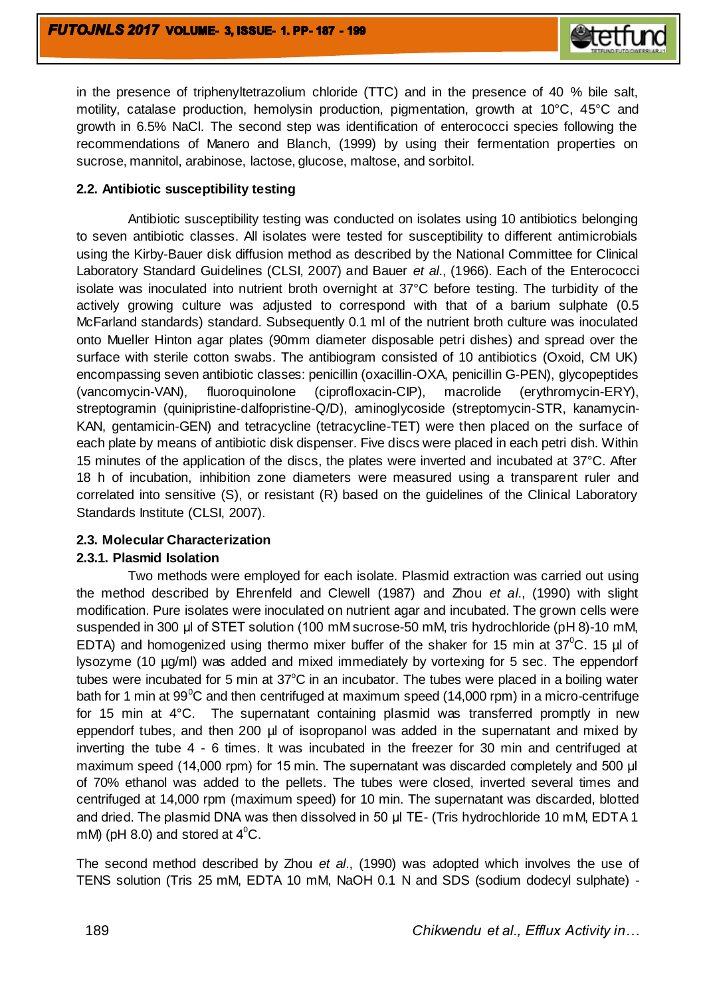in the presence of triphenyltetrazolium chloride (TTC) and in the presence of 40 % bile salt, motility, catalase production, hemolysin production, pigmentation, growth at 10°C, 45°C and growth in 6.5% NaCl. The second step was identification of enterococci species following the recommendations of Manero and Blanch, (1999) by using their fermentation properties on sucrose, mannitol, arabinose, lactose, glucose, maltose, and sorbitol.

### **2.2. Antibiotic susceptibility testing**

Antibiotic susceptibility testing was conducted on isolates using 10 antibiotics belonging to seven antibiotic classes. All isolates were tested for susceptibility to different antimicrobials using the Kirby-Bauer disk diffusion method as described by the National Committee for Clinical Laboratory Standard Guidelines (CLSI, 2007) and Bauer *et al*., (1966). Each of the Enterococci isolate was inoculated into nutrient broth overnight at 37°C before testing. The turbidity of the actively growing culture was adjusted to correspond with that of a barium sulphate (0.5 McFarland standards) standard. Subsequently 0.1 ml of the nutrient broth culture was inoculated onto Mueller Hinton agar plates (90mm diameter disposable petri dishes) and spread over the surface with sterile cotton swabs. The antibiogram consisted of 10 antibiotics (Oxoid, CM UK) encompassing seven antibiotic classes: penicillin (oxacillin-OXA, penicillin G-PEN), glycopeptides (vancomycin-VAN), fluoroquinolone (ciprofloxacin-CIP), macrolide (erythromycin-ERY), streptogramin (quinipristine-dalfopristine-Q/D), aminoglycoside (streptomycin-STR, kanamycin-KAN, gentamicin-GEN) and tetracycline (tetracycline-TET) were then placed on the surface of each plate by means of antibiotic disk dispenser. Five discs were placed in each petri dish. Within 15 minutes of the application of the discs, the plates were inverted and incubated at 37°C. After 18 h of incubation, inhibition zone diameters were measured using a transparent ruler and correlated into sensitive (S), or resistant (R) based on the guidelines of the Clinical Laboratory Standards Institute (CLSI, 2007).

## **2.3. Molecular Characterization**

#### **2.3.1. Plasmid Isolation**

Two methods were employed for each isolate. Plasmid extraction was carried out using the method described by Ehrenfeld and Clewell (1987) and Zhou *et al*., (1990) with slight modification. Pure isolates were inoculated on nutrient agar and incubated. The grown cells were suspended in 300 μl of STET solution (100 mM sucrose-50 mM, tris hydrochloride (pH 8)-10 mM, EDTA) and homogenized using thermo mixer buffer of the shaker for 15 min at  $37^{\circ}$ C. 15 µ of lysozyme (10 µg/ml) was added and mixed immediately by vortexing for 5 sec. The eppendorf tubes were incubated for 5 min at  $37^{\circ}$ C in an incubator. The tubes were placed in a boiling water bath for 1 min at 99 $\mathrm{^0C}$  and then centrifuged at maximum speed (14,000 rpm) in a micro-centrifuge for 15 min at 4°C. The supernatant containing plasmid was transferred promptly in new eppendorf tubes, and then 200 µl of isopropanol was added in the supernatant and mixed by inverting the tube 4 - 6 times. It was incubated in the freezer for 30 min and centrifuged at maximum speed (14,000 rpm) for 15 min. The supernatant was discarded completely and 500 μl of 70% ethanol was added to the pellets. The tubes were closed, inverted several times and centrifuged at 14,000 rpm (maximum speed) for 10 min. The supernatant was discarded, blotted and dried. The plasmid DNA was then dissolved in 50 μl TE- (Tris hydrochloride 10 mM, EDTA 1 mM) (pH 8.0) and stored at  $4^{\circ}$ C.

The second method described by Zhou *et al*., (1990) was adopted which involves the use of TENS solution (Tris 25 mM, EDTA 10 mM, NaOH 0.1 N and SDS (sodium dodecyl sulphate) -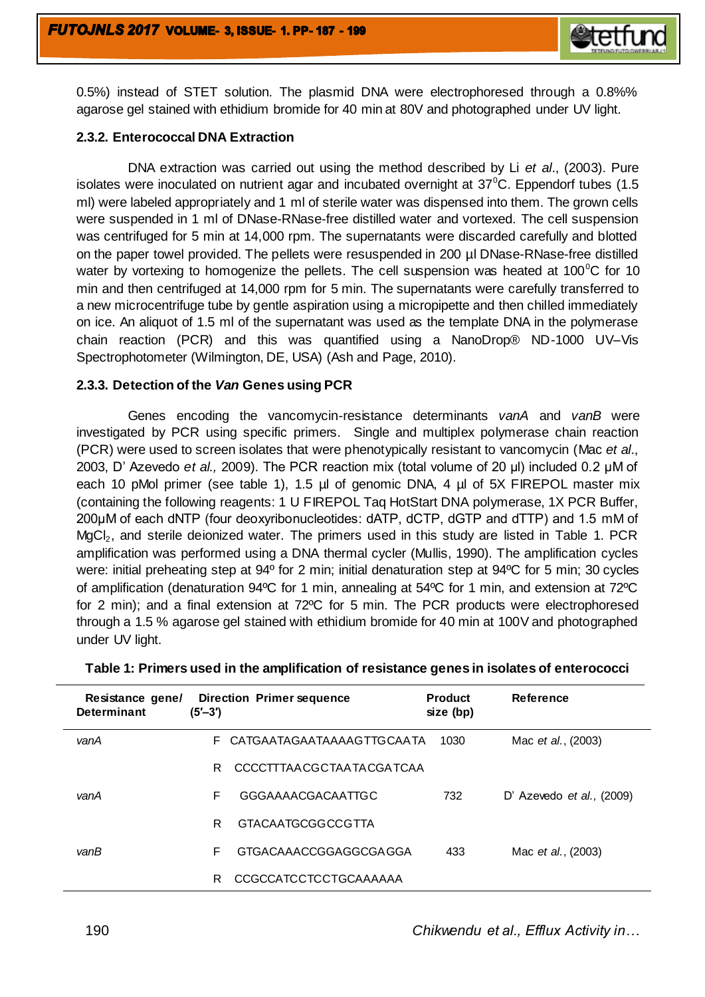

0.5%) instead of STET solution. The plasmid DNA were electrophoresed through a 0.8%% agarose gel stained with ethidium bromide for 40 min at 80V and photographed under UV light.

#### **2.3.2. Enterococcal DNA Extraction**

DNA extraction was carried out using the method described by Li *et al*., (2003). Pure isolates were inoculated on nutrient agar and incubated overnight at  $37^{\circ}$ C. Eppendorf tubes (1.5 ml) were labeled appropriately and 1 ml of sterile water was dispensed into them. The grown cells were suspended in 1 ml of DNase-RNase-free distilled water and vortexed. The cell suspension was centrifuged for 5 min at 14,000 rpm. The supernatants were discarded carefully and blotted on the paper towel provided. The pellets were resuspended in 200 µl DNase-RNase-free distilled water by vortexing to homogenize the pellets. The cell suspension was heated at 100 $^{\circ}$ C for 10 min and then centrifuged at 14,000 rpm for 5 min. The supernatants were carefully transferred to a new microcentrifuge tube by gentle aspiration using a micropipette and then chilled immediately on ice. An aliquot of 1.5 ml of the supernatant was used as the template DNA in the polymerase chain reaction (PCR) and this was quantified using a NanoDrop® ND-1000 UV–Vis Spectrophotometer (Wilmington, DE, USA) (Ash and Page, 2010).

#### **2.3.3. Detection of the** *Van* **Genes using PCR**

Genes encoding the vancomycin-resistance determinants *vanA* and *vanB* were investigated by PCR using specific primers. Single and multiplex polymerase chain reaction (PCR) were used to screen isolates that were phenotypically resistant to vancomycin (Mac *et al*., 2003, D' Azevedo *et al.,* 2009). The PCR reaction mix (total volume of 20 μl) included 0.2 μM of each 10 pMol primer (see table 1), 1.5 µl of genomic DNA, 4 µl of 5X FIREPOL master mix (containing the following reagents: 1 U FIREPOL Taq HotStart DNA polymerase, 1X PCR Buffer, 200μM of each dNTP (four deoxyribonucleotides: dATP, dCTP, dGTP and dTTP) and 1.5 mM of MgCl<sub>2</sub>, and sterile deionized water. The primers used in this study are listed in Table 1. PCR amplification was performed using a DNA thermal cycler (Mullis, 1990). The amplification cycles were: initial preheating step at 94º for 2 min; initial denaturation step at 94ºC for 5 min; 30 cycles of amplification (denaturation 94ºC for 1 min, annealing at 54ºC for 1 min, and extension at 72ºC for 2 min); and a final extension at 72ºC for 5 min. The PCR products were electrophoresed through a 1.5 % agarose gel stained with ethidium bromide for 40 min at 100V and photographed under UV light.

| Resistance gene/<br><b>Determinant</b> | <b>Direction Primer sequence</b><br>$(5' - 3')$ | <b>Product</b><br>size (bp) | Reference                           |
|----------------------------------------|-------------------------------------------------|-----------------------------|-------------------------------------|
| vanA                                   | CATGAATAGAATAAAAGTTGCAATA<br>F.                 | 1030                        | Mac <i>et al.</i> , (2003)          |
|                                        | R<br>CCCCTTTAACGCTAATACGATCAA                   |                             |                                     |
| vanA                                   | F<br>GGGAAAACGACAATTGC                          | 732                         | D' Azevedo <i>et al.</i> , $(2009)$ |
|                                        | R<br>GTACAATGCGGCCGTTA                          |                             |                                     |
| vanB                                   | F<br>GTGACAAACCGGAGGCGA GGA                     | 433                         | Mac <i>et al.</i> , (2003)          |
|                                        | CCGCCATCCTCCTGCAAAAAA<br>R                      |                             |                                     |

#### **Table 1: Primers used in the amplification of resistance genes in isolates of enterococci**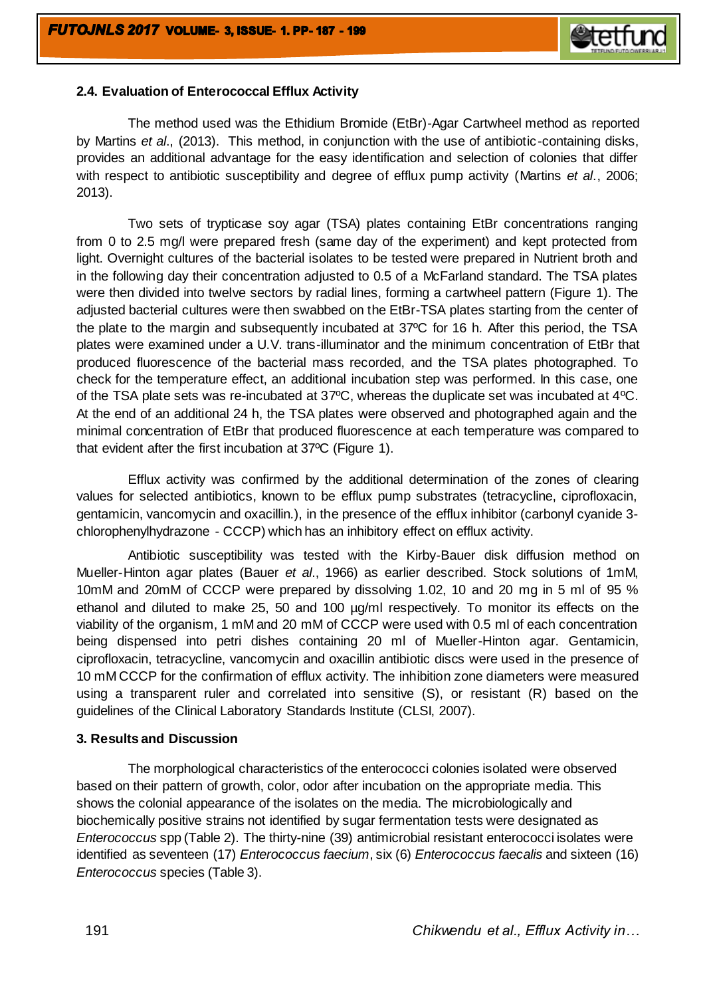

### **2.4. Evaluation of Enterococcal Efflux Activity**

The method used was the Ethidium Bromide (EtBr)-Agar Cartwheel method as reported by Martins *et al*., (2013). This method, in conjunction with the use of antibiotic-containing disks, provides an additional advantage for the easy identification and selection of colonies that differ with respect to antibiotic susceptibility and degree of efflux pump activity (Martins *et al*., 2006; 2013).

Two sets of trypticase soy agar (TSA) plates containing EtBr concentrations ranging from 0 to 2.5 mg/l were prepared fresh (same day of the experiment) and kept protected from light. Overnight cultures of the bacterial isolates to be tested were prepared in Nutrient broth and in the following day their concentration adjusted to 0.5 of a McFarland standard. The TSA plates were then divided into twelve sectors by radial lines, forming a cartwheel pattern (Figure 1). The adjusted bacterial cultures were then swabbed on the EtBr-TSA plates starting from the center of the plate to the margin and subsequently incubated at 37ºC for 16 h. After this period, the TSA plates were examined under a U.V. trans-illuminator and the minimum concentration of EtBr that produced fluorescence of the bacterial mass recorded, and the TSA plates photographed. To check for the temperature effect, an additional incubation step was performed. In this case, one of the TSA plate sets was re-incubated at 37ºC, whereas the duplicate set was incubated at 4ºC. At the end of an additional 24 h, the TSA plates were observed and photographed again and the minimal concentration of EtBr that produced fluorescence at each temperature was compared to that evident after the first incubation at 37ºC (Figure 1).

Efflux activity was confirmed by the additional determination of the zones of clearing values for selected antibiotics, known to be efflux pump substrates (tetracycline, ciprofloxacin, gentamicin, vancomycin and oxacillin*.*), in the presence of the efflux inhibitor (carbonyl cyanide 3 chlorophenylhydrazone - CCCP) which has an inhibitory effect on efflux activity.

Antibiotic susceptibility was tested with the Kirby-Bauer disk diffusion method on Mueller-Hinton agar plates (Bauer *et al*., 1966) as earlier described. Stock solutions of 1mM, 10mM and 20mM of CCCP were prepared by dissolving 1.02, 10 and 20 mg in 5 ml of 95 % ethanol and diluted to make 25, 50 and 100 µg/ml respectively. To monitor its effects on the viability of the organism, 1 mM and 20 mM of CCCP were used with 0.5 ml of each concentration being dispensed into petri dishes containing 20 ml of Mueller-Hinton agar. Gentamicin, ciprofloxacin, tetracycline, vancomycin and oxacillin antibiotic discs were used in the presence of 10 mM CCCP for the confirmation of efflux activity. The inhibition zone diameters were measured using a transparent ruler and correlated into sensitive (S), or resistant (R) based on the guidelines of the Clinical Laboratory Standards Institute (CLSI, 2007).

#### **3. Results and Discussion**

The morphological characteristics of the enterococci colonies isolated were observed based on their pattern of growth, color, odor after incubation on the appropriate media. This shows the colonial appearance of the isolates on the media. The microbiologically and biochemically positive strains not identified by sugar fermentation tests were designated as *Enterococcus* spp (Table 2). The thirty-nine (39) antimicrobial resistant enterococci isolates were identified as seventeen (17) *Enterococcus faecium*, six (6) *Enterococcus faecalis* and sixteen (16) *Enterococcus* species (Table 3).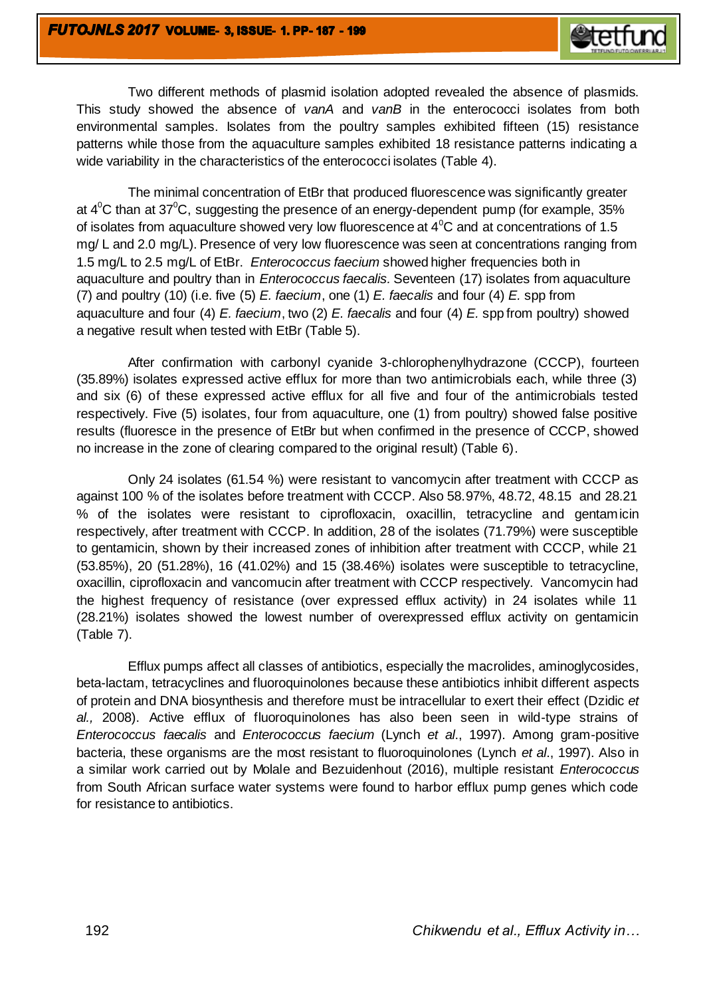Two different methods of plasmid isolation adopted revealed the absence of plasmids. This study showed the absence of *vanA* and *vanB* in the enterococci isolates from both environmental samples. Isolates from the poultry samples exhibited fifteen (15) resistance patterns while those from the aquaculture samples exhibited 18 resistance patterns indicating a wide variability in the characteristics of the enterococci isolates (Table 4).

The minimal concentration of EtBr that produced fluorescence was significantly greater at  $4^{\circ}$ C than at 37 $^{\circ}$ C, suggesting the presence of an energy-dependent pump (for example, 35% of isolates from aquaculture showed very low fluorescence at  $4^{\circ}$ C and at concentrations of 1.5 mg/ L and 2.0 mg/L). Presence of very low fluorescence was seen at concentrations ranging from 1.5 mg/L to 2.5 mg/L of EtBr. *Enterococcus faecium* showed higher frequencies both in aquaculture and poultry than in *Enterococcus faecalis.* Seventeen (17) isolates from aquaculture (7) and poultry (10) (i.e. five (5) *E. faecium*, one (1) *E. faecalis* and four (4) *E.* spp from aquaculture and four (4) *E. faecium*, two (2) *E. faecalis* and four (4) *E.* spp from poultry) showed a negative result when tested with EtBr (Table 5).

After confirmation with carbonyl cyanide 3-chlorophenylhydrazone (CCCP), fourteen (35.89%) isolates expressed active efflux for more than two antimicrobials each, while three (3) and six (6) of these expressed active efflux for all five and four of the antimicrobials tested respectively. Five (5) isolates, four from aquaculture, one (1) from poultry) showed false positive results (fluoresce in the presence of EtBr but when confirmed in the presence of CCCP, showed no increase in the zone of clearing compared to the original result) (Table 6).

Only 24 isolates (61.54 %) were resistant to vancomycin after treatment with CCCP as against 100 % of the isolates before treatment with CCCP. Also 58.97%, 48.72, 48.15 and 28.21 % of the isolates were resistant to ciprofloxacin, oxacillin, tetracycline and gentamicin respectively, after treatment with CCCP. In addition, 28 of the isolates (71.79%) were susceptible to gentamicin, shown by their increased zones of inhibition after treatment with CCCP, while 21 (53.85%), 20 (51.28%), 16 (41.02%) and 15 (38.46%) isolates were susceptible to tetracycline, oxacillin, ciprofloxacin and vancomucin after treatment with CCCP respectively. Vancomycin had the highest frequency of resistance (over expressed efflux activity) in 24 isolates while 11 (28.21%) isolates showed the lowest number of overexpressed efflux activity on gentamicin (Table 7).

Efflux pumps affect all classes of antibiotics, especially the macrolides, aminoglycosides, beta-lactam, tetracyclines and fluoroquinolones because these antibiotics inhibit different aspects of protein and DNA biosynthesis and therefore must be intracellular to exert their effect (Dzidic *et al.,* 2008). Active efflux of fluoroquinolones has also been seen in wild-type strains of *Enterococcus faecalis* and *Enterococcus faecium* (Lynch *et al*., 1997). Among gram-positive bacteria, these organisms are the most resistant to fluoroquinolones (Lynch *et al*., 1997). Also in a similar work carried out by Molale and Bezuidenhout (2016), multiple resistant *Enterococcus*  from South African surface water systems were found to harbor efflux pump genes which code for resistance to antibiotics.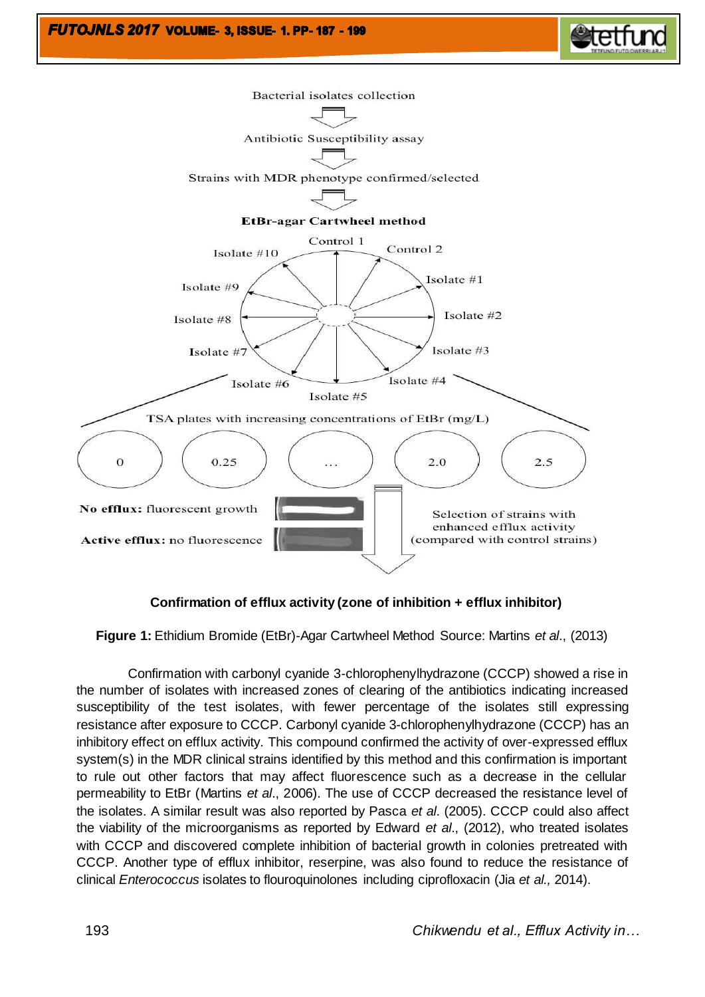



## **Confirmation of efflux activity (zone of inhibition + efflux inhibitor)**

**Figure 1:** Ethidium Bromide (EtBr)-Agar Cartwheel Method Source: Martins *et al*., (2013)

Confirmation with carbonyl cyanide 3-chlorophenylhydrazone (CCCP) showed a rise in the number of isolates with increased zones of clearing of the antibiotics indicating increased susceptibility of the test isolates, with fewer percentage of the isolates still expressing resistance after exposure to CCCP. Carbonyl cyanide 3-chlorophenylhydrazone (CCCP) has an inhibitory effect on efflux activity. This compound confirmed the activity of over-expressed efflux system(s) in the MDR clinical strains identified by this method and this confirmation is important to rule out other factors that may affect fluorescence such as a decrease in the cellular permeability to EtBr (Martins *et al*., 2006). The use of CCCP decreased the resistance level of the isolates. A similar result was also reported by Pasca *et al*. (2005). CCCP could also affect the viability of the microorganisms as reported by Edward *et al*., (2012), who treated isolates with CCCP and discovered complete inhibition of bacterial growth in colonies pretreated with CCCP. Another type of efflux inhibitor, reserpine, was also found to reduce the resistance of clinical *Enterococcus* isolates to flouroquinolones including ciprofloxacin (Jia *et al.,* 2014).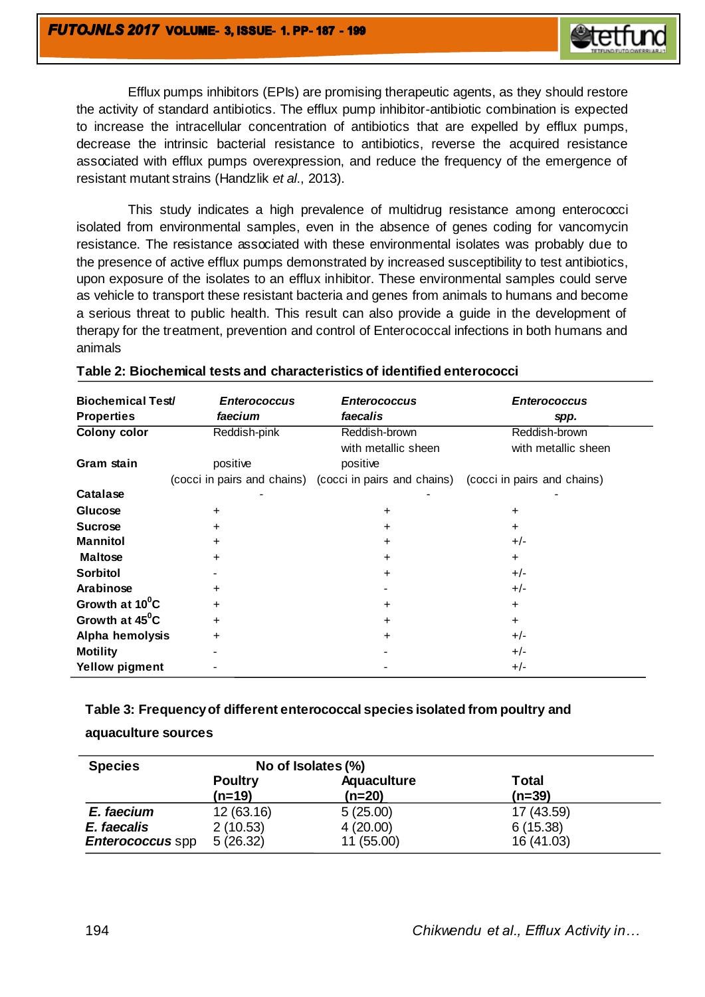

Efflux pumps inhibitors (EPIs) are promising therapeutic agents, as they should restore the activity of standard antibiotics. The efflux pump inhibitor-antibiotic combination is expected to increase the intracellular concentration of antibiotics that are expelled by efflux pumps, decrease the intrinsic bacterial resistance to antibiotics, reverse the acquired resistance associated with efflux pumps overexpression, and reduce the frequency of the emergence of resistant mutant strains (Handzlik *et al*., 2013).

This study indicates a high prevalence of multidrug resistance among enterococci isolated from environmental samples, even in the absence of genes coding for vancomycin resistance. The resistance associated with these environmental isolates was probably due to the presence of active efflux pumps demonstrated by increased susceptibility to test antibiotics, upon exposure of the isolates to an efflux inhibitor. These environmental samples could serve as vehicle to transport these resistant bacteria and genes from animals to humans and become a serious threat to public health. This result can also provide a guide in the development of therapy for the treatment, prevention and control of Enterococcal infections in both humans and animals

| <b>Biochemical Test/</b><br><b>Properties</b> | <b>Enterococcus</b><br><i>faecium</i> | <b>Enterococcus</b><br>faecalis                         | <b>Enterococcus</b><br>spp.          |
|-----------------------------------------------|---------------------------------------|---------------------------------------------------------|--------------------------------------|
| <b>Colony color</b>                           | Reddish-pink                          | Reddish-brown<br>with metallic sheen                    | Reddish-brown<br>with metallic sheen |
| Gram stain                                    | positive                              | positive                                                |                                      |
|                                               |                                       | (cocci in pairs and chains) (cocci in pairs and chains) | (cocci in pairs and chains)          |
| Catalase                                      |                                       |                                                         |                                      |
| Glucose                                       | +                                     | +                                                       | +                                    |
| <b>Sucrose</b>                                | +                                     | +                                                       | ٠                                    |
| <b>Mannitol</b>                               | ÷.                                    | +                                                       | $+/-$                                |
| <b>Maltose</b>                                | ÷.                                    | +                                                       | +                                    |
| <b>Sorbitol</b>                               |                                       | ÷                                                       | $+/-$                                |
| Arabinose                                     | ÷.                                    |                                                         | $+/-$                                |
| Growth at 10 <sup>°</sup> C                   | ÷.                                    | +                                                       | +                                    |
| Growth at 45 <sup>°</sup> C                   | ÷.                                    | +                                                       | +                                    |
| Alpha hemolysis                               | ÷.                                    | ÷                                                       | $+/-$                                |
| <b>Motility</b>                               |                                       |                                                         | $+/-$                                |
| <b>Yellow pigment</b>                         |                                       |                                                         | $+/-$                                |

#### **Table 2: Biochemical tests and characteristics of identified enterococci**

**Table 3: Frequency of different enterococcal species isolated from poultry and** 

**aquaculture sources**

| <b>Species</b>          | No of Isolates (%) |             |              |  |  |  |  |  |  |
|-------------------------|--------------------|-------------|--------------|--|--|--|--|--|--|
|                         | <b>Poultry</b>     | Aquaculture | <b>Total</b> |  |  |  |  |  |  |
|                         | $(n=19)$           | (n=20)      | $(n=39)$     |  |  |  |  |  |  |
| E. faecium              | 12(63.16)          | 5(25.00)    | 17 (43.59)   |  |  |  |  |  |  |
| E. faecalis             | 2(10.53)           | 4(20.00)    | 6(15.38)     |  |  |  |  |  |  |
| <b>Enterococcus</b> spp | 5(26.32)           | 11 (55.00)  | 16 (41.03)   |  |  |  |  |  |  |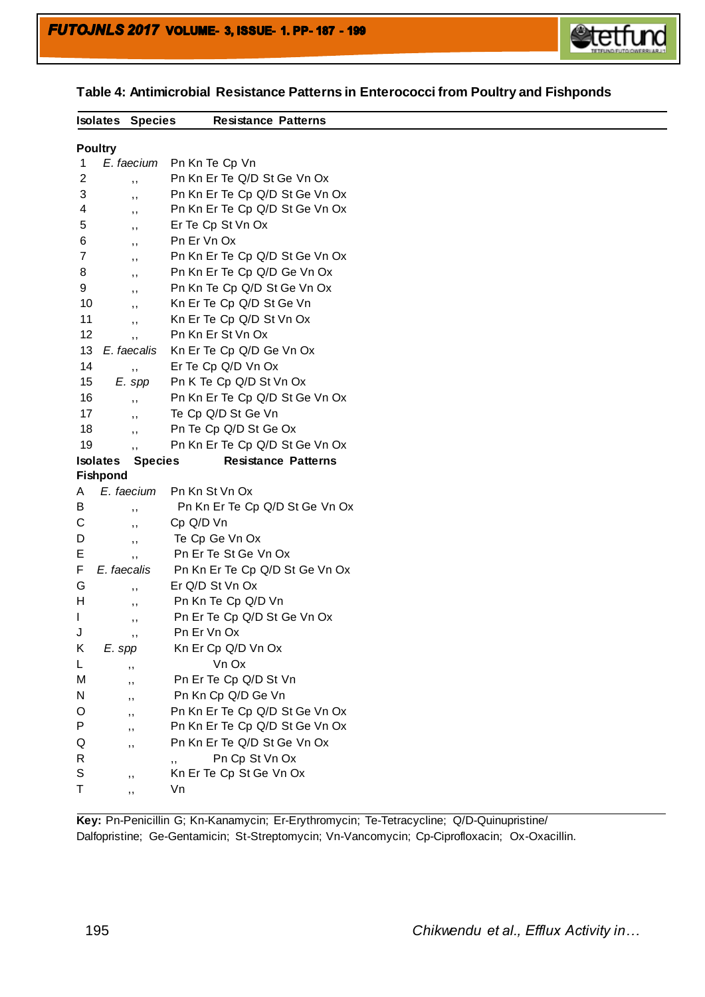

| <b>Isolates Species</b>        |                | <b>Resistance Patterns</b>                    |
|--------------------------------|----------------|-----------------------------------------------|
|                                |                |                                               |
| <b>Poultry</b><br>$\mathbf{1}$ | E. faecium     |                                               |
|                                |                | Pn Kn Te Cp Vn<br>Pn Kn Er Te Q/D St Ge Vn Ox |
| 2                              | , ,            |                                               |
| 3                              | ,,             | Pn Kn Er Te Cp Q/D St Ge Vn Ox                |
| 4                              | ,,             | Pn Kn Er Te Cp Q/D St Ge Vn Ox                |
| 5                              | ,,             | Er Te Cp St Vn Ox                             |
| 6                              | ,,             | Pn Er Vn Ox                                   |
| 7                              | ,,             | Pn Kn Er Te Cp Q/D St Ge Vn Ox                |
| 8                              | ,,             | Pn Kn Er Te Cp Q/D Ge Vn Ox                   |
| 9                              | , ,            | Pn Kn Te Cp Q/D St Ge Vn Ox                   |
| 10                             | , ,            | Kn Er Te Cp Q/D St Ge Vn                      |
| 11                             | , ,            | Kn Er Te Cp Q/D St Vn Ox                      |
| 12                             | ,,             | Pn Kn Er St Vn Ox                             |
| 13                             | E. faecalis    | Kn Er Te Cp Q/D Ge Vn Ox                      |
| 14                             | , ,            | Er Te Cp Q/D Vn Ox                            |
| 15                             | E. spp         | Pn K Te Cp Q/D St Vn Ox                       |
| 16                             | , ,            | Pn Kn Er Te Cp Q/D St Ge Vn Ox                |
| 17                             | , ,            | Te Cp Q/D St Ge Vn                            |
| 18                             | , ,            | Pn Te Cp Q/D St Ge Ox                         |
| 19                             | ,,             | Pn Kn Er Te Cp Q/D St Ge Vn Ox                |
| <b>Isolates</b>                | <b>Species</b> | <b>Resistance Patterns</b>                    |
| <b>Fishpond</b>                |                |                                               |
| A                              | E. faecium     | Pn Kn St Vn Ox                                |
| В                              | ,,             | Pn Kn Er Te Cp Q/D St Ge Vn Ox                |
| С                              | ,,             | Cp Q/D Vn                                     |
| D                              | ,,             | Te Cp Ge Vn Ox                                |
| Ε                              | , ,            | Pn Er Te St Ge Vn Ox                          |
| F                              | E. faecalis    | Pn Kn Er Te Cp Q/D St Ge Vn Ox                |
| G                              | , ,            | Er Q/D St Vn Ox                               |
| н                              | ,,             | Pn Kn Te Cp Q/D Vn                            |
| L                              | ,,             | Pn Er Te Cp Q/D St Ge Vn Ox                   |
| J                              | ,,             | Pn Er Vn Ox                                   |
| Κ<br>E. spp                    |                | Kn Er Cp Q/D Vn Ox                            |
| L                              |                | Vn Ox                                         |
| М                              | ,,             | Pn Er Te Cp Q/D St Vn                         |
| N                              | ,,             | Pn Kn Cp Q/D Ge Vn                            |
| O                              | ,,             | Pn Kn Er Te Cp Q/D St Ge Vn Ox                |
| Ρ                              | ,,             | Pn Kn Er Te Cp Q/D St Ge Vn Ox                |
| Q                              | ,,             | Pn Kn Er Te Q/D St Ge Vn Ox                   |
| R                              | ,,             | Pn Cp St Vn Ox                                |
| S                              |                | ,,<br>Kn Er Te Cp St Ge Vn Ox                 |
|                                | ,,             |                                               |
| Τ                              | ,,             | Vn                                            |

**Table 4: Antimicrobial Resistance Patterns in Enterococci from Poultry and Fishponds**

**Key:** Pn-Penicillin G; Kn-Kanamycin; Er-Erythromycin; Te-Tetracycline; Q/D-Quinupristine/ Dalfopristine; Ge-Gentamicin; St-Streptomycin; Vn-Vancomycin; Cp-Ciprofloxacin; Ox-Oxacillin.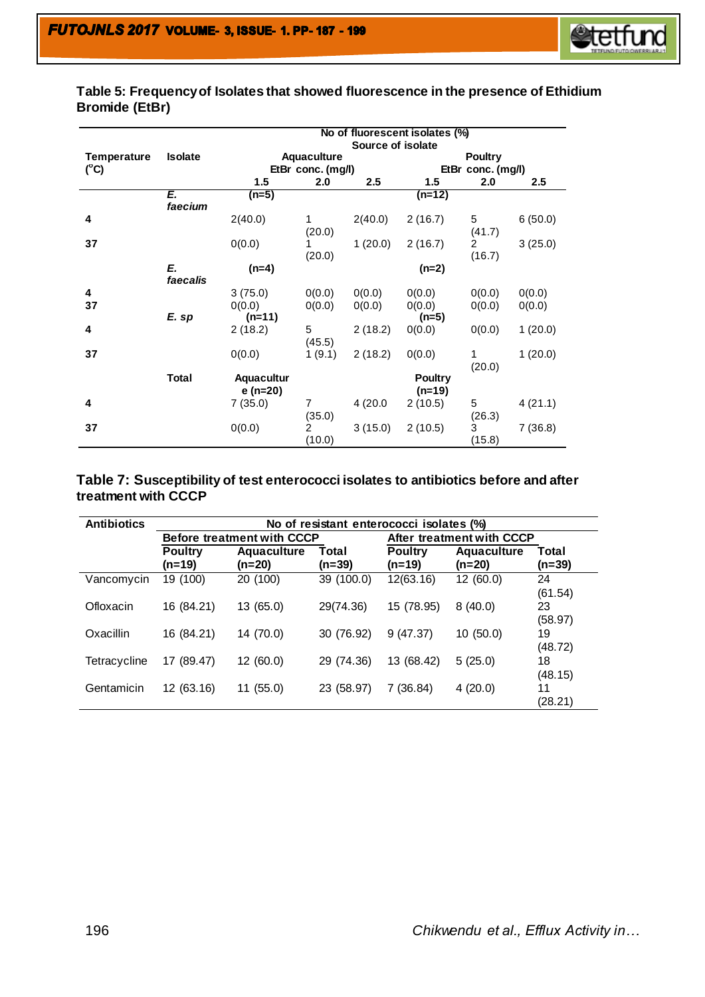

## **Table 5: Frequency of Isolates that showed fluorescence in the presence of Ethidium Bromide (EtBr)**

|                    |                | No of fluorescent isolates (%) |                          |                  |                            |                   |               |  |  |
|--------------------|----------------|--------------------------------|--------------------------|------------------|----------------------------|-------------------|---------------|--|--|
|                    |                |                                |                          |                  | Source of isolate          |                   |               |  |  |
| <b>Temperature</b> | <b>Isolate</b> |                                | <b>Aquaculture</b>       |                  |                            | <b>Poultry</b>    |               |  |  |
| $(^{\circ}C)$      |                |                                | EtBr conc. (mg/l)        |                  |                            | EtBr conc. (mg/l) |               |  |  |
|                    |                | 1.5                            | 2.0                      | $2.5\phantom{0}$ | 1.5                        | 2.0               | $2.5^{\circ}$ |  |  |
|                    | E.<br>faecium  | $(n=5)$                        |                          |                  | (n=12)                     |                   |               |  |  |
| 4                  |                | 2(40.0)                        | 1<br>(20.0)              | 2(40.0)          | 2(16.7)                    | 5<br>(41.7)       | 6(50.0)       |  |  |
| 37                 |                | 0(0.0)                         | (20.0)                   | 1(20.0)          | 2(16.7)                    | 2<br>(16.7)       | 3(25.0)       |  |  |
|                    | E.<br>faecalis | $(n=4)$                        |                          |                  | $(n=2)$                    |                   |               |  |  |
| 4                  |                | 3(75.0)                        | 0(0.0)                   | 0(0.0)           | 0(0.0)                     | 0(0.0)            | 0(0.0)        |  |  |
| 37                 |                | 0(0.0)                         | 0(0.0)                   | 0(0.0)           | 0(0.0)                     | 0(0.0)            | 0(0.0)        |  |  |
|                    | E. sp          | $(n=11)$                       |                          |                  | $(n=5)$                    |                   |               |  |  |
| 4                  |                | 2(18.2)                        | 5<br>(45.5)              | 2(18.2)          | 0(0.0)                     | 0(0.0)            | 1(20.0)       |  |  |
| 37                 |                | 0(0.0)                         | 1(9.1)                   | 2(18.2)          | 0(0.0)                     | 1<br>(20.0)       | 1(20.0)       |  |  |
|                    | <b>Total</b>   | Aquacultur<br>e (n=20)         |                          |                  | <b>Poultry</b><br>$(n=19)$ |                   |               |  |  |
| 4                  |                | 7(35.0)                        | $\overline{7}$<br>(35.0) | 4(20.0)          | 2(10.5)                    | 5<br>(26.3)       | 4(21.1)       |  |  |
| 37                 |                | 0(0.0)                         | $\overline{2}$<br>(10.0) | 3(15.0)          | 2(10.5)                    | 3<br>(15.8)       | 7(36.8)       |  |  |

## **Table 7: Susceptibility of test enterococci isolates to antibiotics before and after treatment with CCCP**

| <b>Antibiotics</b> | No of resistant enterococci isolates (%) |                                   |                   |                            |                   |               |  |  |  |  |
|--------------------|------------------------------------------|-----------------------------------|-------------------|----------------------------|-------------------|---------------|--|--|--|--|
|                    |                                          | <b>Before treatment with CCCP</b> |                   | After treatment with CCCP  |                   |               |  |  |  |  |
|                    | <b>Poultry</b><br>(n=19)                 | <b>Aquaculture</b><br>$(n=20)$    | Total<br>$(n=39)$ | <b>Poultry</b><br>$(n=19)$ | Total<br>$(n=39)$ |               |  |  |  |  |
| Vancomycin         | 19 (100)                                 | 20 (100)                          | 39 (100.0)        | 12(63.16)                  | 12(60.0)          | 24<br>(61.54) |  |  |  |  |
| Ofloxacin          | 16 (84.21)                               | 13 (65.0)                         | 29(74.36)         | 15 (78.95)                 | 8(40.0)           | 23<br>(58.97) |  |  |  |  |
| Oxacillin          | 16 (84.21)                               | 14 (70.0)                         | 30 (76.92)        | 9(47.37)                   | 10(50.0)          | 19<br>(48.72) |  |  |  |  |
| Tetracycline       | 17 (89.47)                               | 12(60.0)                          | 29 (74.36)        | 13 (68.42)                 | 5(25.0)           | 18<br>(48.15) |  |  |  |  |
| Gentamicin         | 12 (63.16)                               | 11 (55.0)                         | 23 (58.97)        | 7 (36.84)                  | 4(20.0)           | 11<br>(28.21) |  |  |  |  |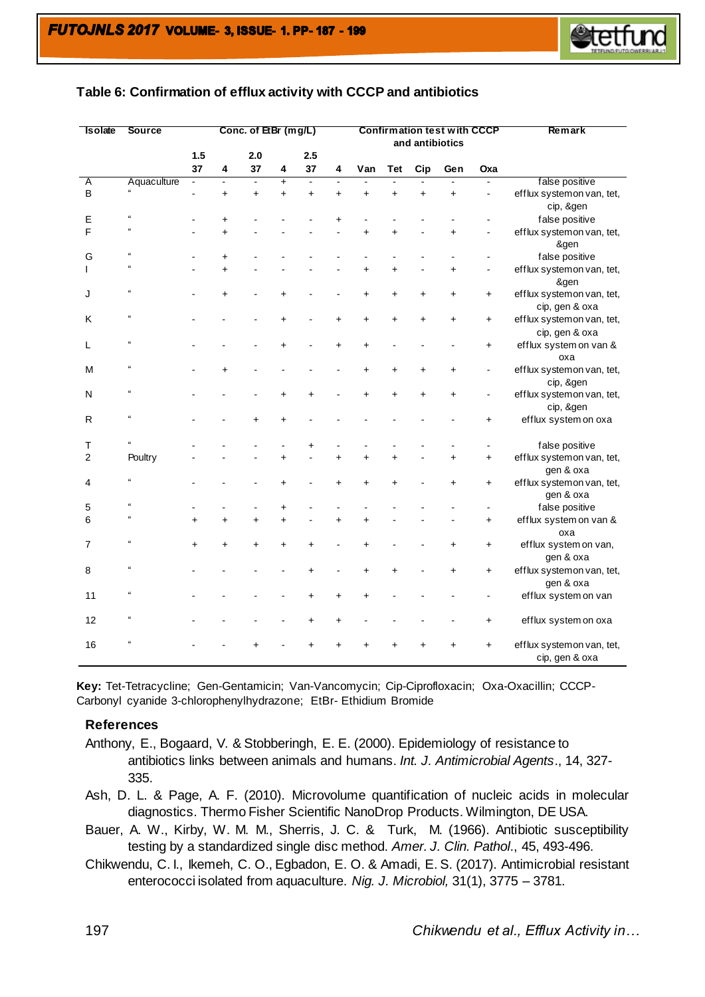

| <b>Isolate</b> | Source                  |           | Conc. of EtBr (mg/L)<br><b>Confirmation test with CCCP</b><br>and antibiotics |                |                         |                |           |           | Remark    |           |           |           |                                             |
|----------------|-------------------------|-----------|-------------------------------------------------------------------------------|----------------|-------------------------|----------------|-----------|-----------|-----------|-----------|-----------|-----------|---------------------------------------------|
|                |                         | 1.5<br>37 | $\overline{\mathbf{4}}$                                                       | 2.0<br>37      | $\overline{\mathbf{4}}$ | 2.5<br>37      | 4         | Van       | Tet       | Cip       | Gen       | Oxa       |                                             |
| Α              | Aquaculture             |           | $\blacksquare$                                                                | $\blacksquare$ | $\overline{+}$          | $\overline{a}$ |           |           |           |           |           |           | false positive                              |
| B              |                         |           | $\ddot{}$                                                                     | $\ddot{}$      | $\ddot{}$               | $\ddot{}$      | $\ddot{}$ | $\ddot{}$ | $\ddot{}$ | $\ddot{}$ | $\ddot{}$ |           | efflux systemon van, tet,<br>cip, &gen      |
| E              | $\epsilon$              |           | $\ddot{}$                                                                     |                |                         |                | $\ddot{}$ |           |           |           |           |           | false positive                              |
| F              |                         |           | $\ddot{}$                                                                     |                |                         |                |           | $\ddot{}$ | ÷.        |           |           |           | efflux systemon van, tet,<br>&gen           |
| G              | $\alpha$                |           | $\ddot{}$                                                                     |                |                         |                |           |           |           |           |           |           | false positive                              |
|                |                         |           | $\ddot{}$                                                                     |                |                         |                |           | $\ddot{}$ | $\ddot{}$ |           | $\ddot{}$ |           | efflux systemon van, tet,<br>&gen           |
| J              | $\alpha$                |           | $\ddot{}$                                                                     |                | $\ddot{}$               |                |           | $\ddot{}$ | $\ddot{}$ | $\ddot{}$ |           | $\ddot{}$ | efflux systemon van, tet,<br>cip, gen & oxa |
| K              | $\epsilon$              |           |                                                                               |                | $\ddot{}$               |                | $\ddot{}$ | +         | ÷         | $\ddot{}$ | +         | +         | efflux systemon van, tet,<br>cip, gen & oxa |
| L              | $\mathfrak{a}$          |           |                                                                               |                |                         |                | $\ddot{}$ | $\ddot{}$ |           |           |           | $\ddot{}$ | efflux system on van &<br>oxa               |
| M              | $\epsilon$              |           | Ł                                                                             |                |                         |                |           | +         |           | ÷         | ÷         |           | efflux systemon van, tet,<br>cip, &gen      |
| N              | $\alpha$                |           |                                                                               |                | $\ddot{}$               |                |           |           |           | ÷         | +         |           | efflux systemon van, tet,<br>cip, &gen      |
| R              | £                       |           |                                                                               | $\ddot{}$      | $\ddot{}$               |                |           |           |           |           |           | $\pmb{+}$ | efflux system on oxa                        |
| Т              |                         |           |                                                                               |                |                         | $\pmb{+}$      |           |           |           |           |           |           | false positive                              |
| $\overline{c}$ | Poultry                 |           |                                                                               |                | $\ddot{}$               |                | $\ddot{}$ | $\ddot{}$ |           |           | $\ddot{}$ | $\pmb{+}$ | efflux systemon van, tet,<br>gen & oxa      |
| 4              | $\alpha$                |           |                                                                               |                | $\ddot{}$               |                | $\ddot{}$ | $\ddot{}$ | ÷         |           | $\ddot{}$ | $\ddot{}$ | efflux systemon van, tet,<br>gen & oxa      |
| 5              |                         |           |                                                                               |                | $\ddot{}$               |                |           |           |           |           |           |           | false positive                              |
| 6              |                         | $\ddot{}$ | $\ddot{}$                                                                     | $\ddot{}$      | $\ddot{}$               |                | $\ddot{}$ | $\ddot{}$ |           |           |           | +         | efflux system on van &<br>oxa               |
| $\overline{7}$ | ££                      |           |                                                                               |                |                         |                |           |           |           |           |           | $\ddot{}$ | efflux system on van,<br>gen & oxa          |
| 8              | $\epsilon$              |           |                                                                               |                |                         | $\ddot{}$      |           | +         |           |           | +         | +         | efflux systemon van, tet,<br>gen & oxa      |
| 11             | £                       |           |                                                                               |                |                         |                | $\ddot{}$ | +         |           |           |           |           | efflux system on van                        |
| 12             | ts.                     |           |                                                                               |                |                         | $\ddot{}$      | $\ddot{}$ |           |           |           |           | $\ddot{}$ | efflux system on oxa                        |
| 16             | $\overline{\mathbf{a}}$ |           |                                                                               |                |                         |                |           |           |           |           |           |           | efflux systemon van, tet,<br>cip, gen & oxa |

#### **Table 6: Confirmation of efflux activity with CCCP and antibiotics**

**Key:** Tet-Tetracycline; Gen-Gentamicin; Van-Vancomycin; Cip-Ciprofloxacin; Oxa-Oxacillin; CCCP-Carbonyl cyanide 3-chlorophenylhydrazone; EtBr- Ethidium Bromide

#### **References**

- Anthony, E., Bogaard, V. & Stobberingh, E. E. (2000). Epidemiology of resistance to antibiotics links between animals and humans. *Int. J. Antimicrobial Agents*., 14, 327- 335.
- Ash, D. L. & Page, A. F. (2010). Microvolume quantification of nucleic acids in molecular diagnostics. Thermo Fisher Scientific NanoDrop Products. Wilmington, DE USA.
- Bauer, A. W., Kirby, W. M. M., Sherris, J. C. & Turk, M. (1966). Antibiotic susceptibility testing by a standardized single disc method. *Amer. J. Clin. Pathol*., 45, 493-496.
- Chikwendu, C. I., Ikemeh, C. O., Egbadon, E. O. & Amadi, E. S. (2017). Antimicrobial resistant enterococci isolated from aquaculture. *Nig. J. Microbiol,* 31(1), 3775 – 3781.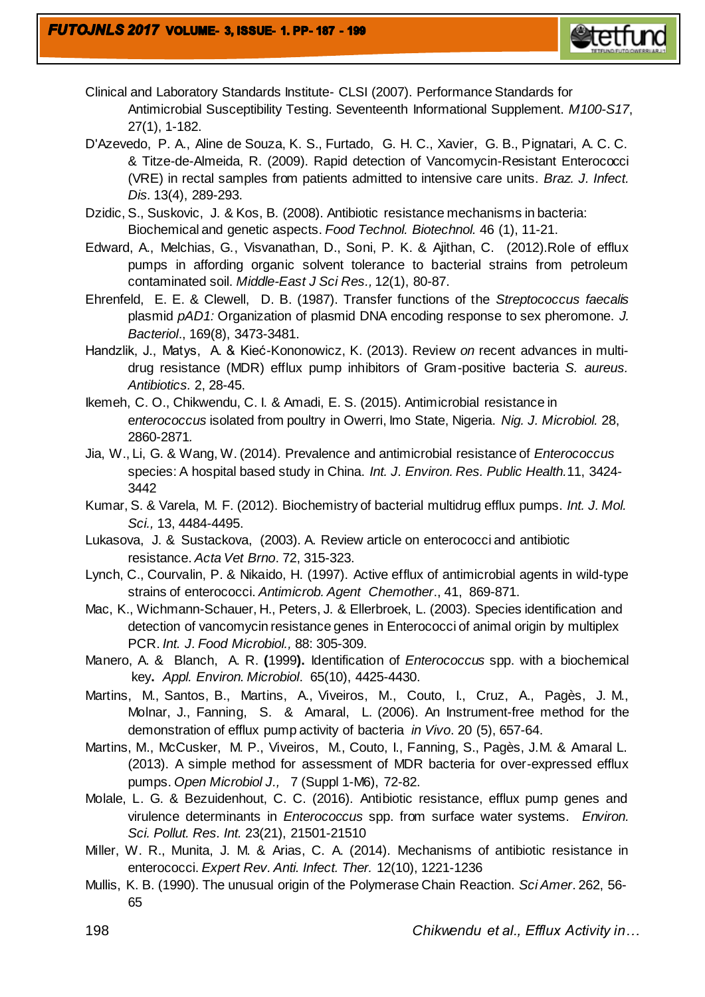

- Clinical and Laboratory Standards Institute- CLSI (2007). Performance Standards for Antimicrobial Susceptibility Testing. Seventeenth Informational Supplement. *M100-S17*, 27(1), 1-182.
- D'Azevedo, P. A., Aline de Souza, K. S., Furtado, G. H. C., Xavier, G. B., Pignatari, A. C. C. & Titze-de-Almeida, R. (2009). Rapid detection of Vancomycin-Resistant Enterococci (VRE) in rectal samples from patients admitted to intensive care units. *Braz. J. Infect. Dis.* 13(4), 289-293.
- Dzidic, S., Suskovic, J. & Kos, B*.* (2008). Antibiotic resistance mechanisms in bacteria: Biochemical and genetic aspects. *Food Technol. Biotechnol.* 46 (1), 11-21.
- Edward, A., Melchias, G., Visvanathan, D., Soni, P. K. & Ajithan, C. (2012).Role of efflux pumps in affording organic solvent tolerance to bacterial strains from petroleum contaminated soil. *Middle-East J Sci Res.,* 12(1), 80-87.
- Ehrenfeld, E. E. & Clewell, D. B. (1987). Transfer functions of the *Streptococcus faecalis* plasmid *pAD1:* Organization of plasmid DNA encoding response to sex pheromone. *J. Bacteriol*., 169(8), 3473-3481.
- Handzlik, J., Matys, A. & Kieć-Kononowicz, K. (2013). Review *on* recent advances in multidrug resistance (MDR) efflux pump inhibitors of Gram-positive bacteria *S. aureus. Antibiotics.* 2, 28-45.
- Ikemeh, C. O., Chikwendu, C. I. & Amadi, E. S. (2015). Antimicrobial resistance in e*nterococcus* isolated from poultry in Owerri, Imo State, Nigeria. *Nig. J. Microbiol.* 28, 2860-2871*.*
- Jia, W., Li, G. & Wang, W. (2014). Prevalence and antimicrobial resistance of *Enterococcus* species: A hospital based study in China. *Int. J. Environ. Res. Public Health.*11, 3424- 3442
- Kumar, S. & Varela, M. F. (2012). Biochemistry of bacterial multidrug efflux pumps. *Int. J. Mol. Sci.,* 13, 4484-4495.
- Lukasova, J. & Sustackova, (2003). A. Review article on enterococci and antibiotic resistance. *Acta Vet Brno*. 72, 315-323.
- Lynch, C., Courvalin, P. & Nikaido, H. (1997). Active efflux of antimicrobial agents in wild-type strains of enterococci. *Antimicrob. Agent Chemother*., 41, 869-871.
- Mac, K., Wichmann-Schauer, H., Peters, J. & Ellerbroek, L. (2003). Species identification and detection of vancomycin resistance genes in Enterococci of animal origin by multiplex PCR. *Int. J. Food Microbiol.,* 88: 305-309.
- [Manero,](file://sites/entrez) A. & [Blanch,](file://sites/entrez) A. R. **(**1999**).** Identification of *Enterococcus* spp. with a biochemical key**.** *Appl. Environ. Microbiol*. 65(10), 4425-4430.
- [Martins,](http://martins.m.lib.bioinfo.pl/auth:Martins,M) M., [Santos,](http://santos.b.lib.bioinfo.pl/auth:Santos,B) B., [Martins,](http://martins.a.lib.bioinfo.pl/auth:Martins,A) A., [Viveiros,](http://viveiros.m.lib.bioinfo.pl/auth:Viveiros,M) M., [Couto,](http://couto.i.lib.bioinfo.pl/auth:Couto,I) I., [Cruz,](http://cruz.a.lib.bioinfo.pl/auth:Cruz,A) A., [Pagès,](http://pag.s.jm.lib.bioinfo.pl/auth:Pagès,JM) J. M., [Molnar,](http://molnar.j.lib.bioinfo.pl/auth:Molnar,J) J., [Fanning,](http://fanning.s.lib.bioinfo.pl/auth:Fanning,S) S. & [Amaral,](http://amaral.l.lib.bioinfo.pl/auth:Amaral,L) L. (2006). [An Instrument-free method for the](http://lib.bioinfo.pl/pmid:17091774)  [demonstration of efflux pump activity of bacteria](http://lib.bioinfo.pl/pmid:17091774) *in Vivo*[. 20 \(5\), 657-64.](http://lib.bioinfo.pl/pmid/journal/In%20Vivo)
- Martins, M., McCusker, M. P., Viveiros, M., Couto, I., Fanning, S., Pagès, J.M. & Amaral L. (2013). A simple method for assessment of MDR bacteria for over-expressed efflux pumps. *Open Microbiol J.,* 7 (Suppl 1-M6), 72-82.
- Molale, L. G. & Bezuidenhout, C. C. (2016). Antibiotic resistance, efflux pump genes and virulence determinants in *Enterococcus* spp. from surface water systems. *Environ. Sci. Pollut. Res. Int.* 23(21), 21501-21510
- Miller, W. R., Munita, J. M. & Arias, C. A. (2014). Mechanisms of antibiotic resistance in enterococci. *Expert Rev. Anti. Infect. Ther.* 12(10), 1221-1236
- Mullis, K. B. (1990). The unusual origin of the Polymerase Chain Reaction. *Sci Amer*. 262, 56- 65